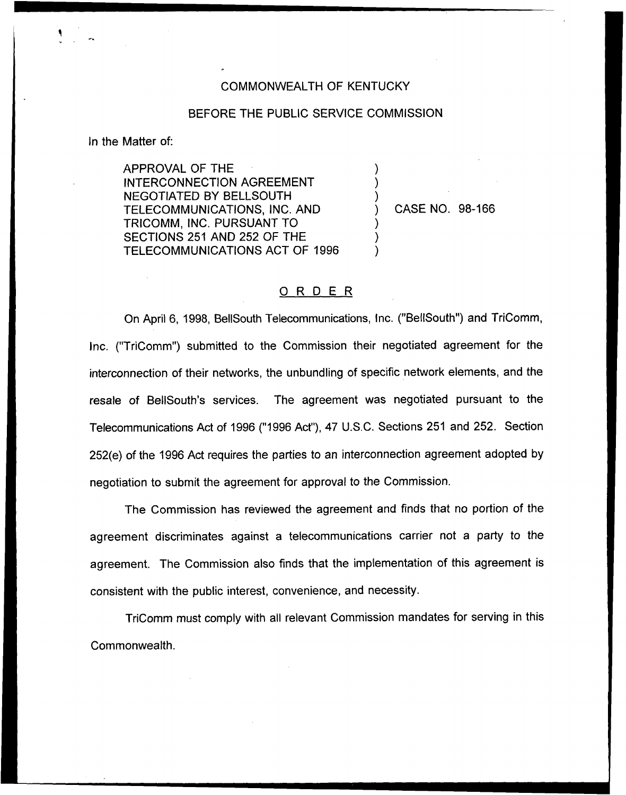## COMMONWEALTH OF KENTUCKY

## BEFORE THE PUBLIC SERVICE COMMISSION

) ) )

) ) )

In the Matter of:

APPROVAL OF THE INTERCONNECTION AGREEMENT NEGOTIATED BY BELLSOUTH TELECOMMUNICATIONS, INC. AND TRICOMM, INC. PURSUANT TO SECTIONS 251 AND 252 OF THE TELECOMMUNICATIONS ACT OF 1996

) CASE NO. 98-166

## 0 <sup>R</sup> <sup>D</sup> <sup>E</sup> <sup>R</sup>

On April 6, 1998, BellSouth Telecommunications, Inc. ("BellSouth") and TriComm, Inc. ("TriComm") submitted to the Commission their negotiated agreement for the interconnection of their networks, the unbundling of specific network elements, and the resale of BellSouth's services. The agreement was negotiated pursuant to the Telecommunications Act of 1996 ("1996Act"), 47 U.S.C. Sections 251 and 252. Section 252(e) of the 1996 Act requires the parties to an interconnection agreement adopted by negotiation to submit the agreement for approval to the Commission.

The Commission has reviewed the agreement and finds that no portion of the agreement discriminates against a telecommunications carrier not a party to the agreement. The Commission also finds that the implementation of this agreement is consistent with the public interest, convenience, and necessity.

TriComm must comply with all relevant Commission mandates for serving in this Commonwealth.